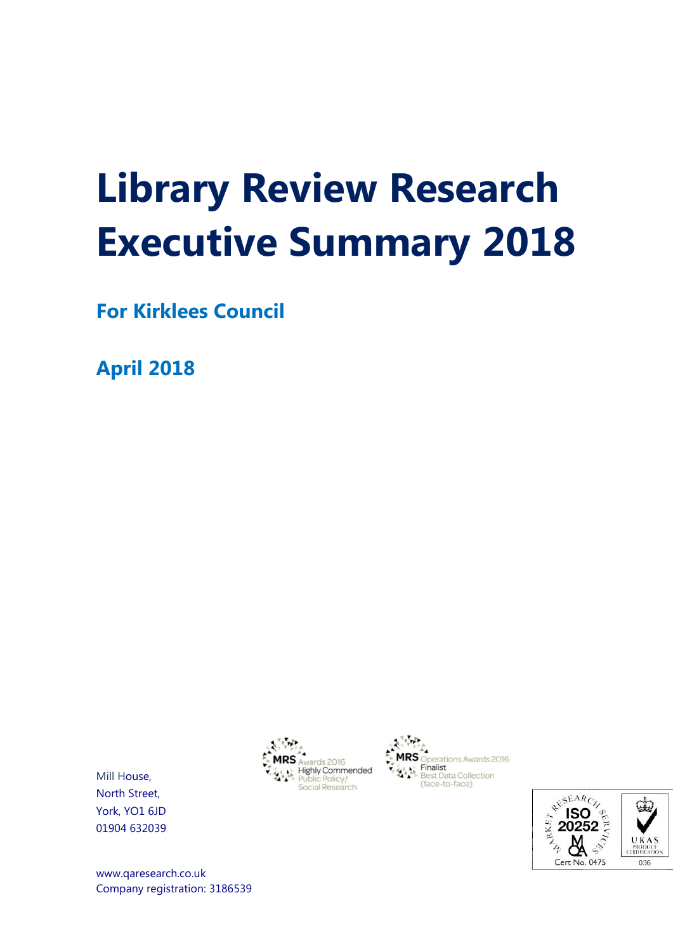# **Library Review Research Executive Summary 2018**

**For Kirklees Council**

**April 2018**







Mill House, North Street, York, YO1 6JD 01904 632039

[www.qaresearch.co.uk](http://www.qaresearch.co.uk/) Company registration: 3186539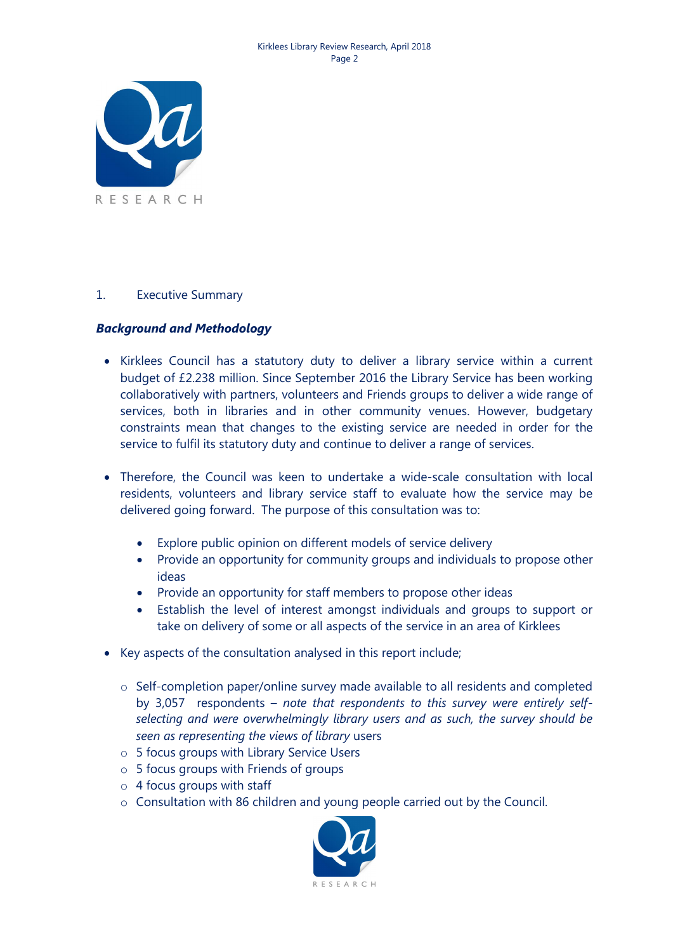

#### 1. Executive Summary

#### *Background and Methodology*

- Kirklees Council has a statutory duty to deliver a library service within a current budget of £2.238 million. Since September 2016 the Library Service has been working collaboratively with partners, volunteers and Friends groups to deliver a wide range of services, both in libraries and in other community venues. However, budgetary constraints mean that changes to the existing service are needed in order for the service to fulfil its statutory duty and continue to deliver a range of services.
- Therefore, the Council was keen to undertake a wide-scale consultation with local residents, volunteers and library service staff to evaluate how the service may be delivered going forward. The purpose of this consultation was to:
	- Explore public opinion on different models of service delivery
	- Provide an opportunity for community groups and individuals to propose other ideas
	- Provide an opportunity for staff members to propose other ideas
	- Establish the level of interest amongst individuals and groups to support or take on delivery of some or all aspects of the service in an area of Kirklees
- Key aspects of the consultation analysed in this report include;
	- o Self-completion paper/online survey made available to all residents and completed by 3,057 respondents – *note that respondents to this survey were entirely selfselecting and were overwhelmingly library users and as such, the survey should be seen as representing the views of library* users
	- o 5 focus groups with Library Service Users
	- o 5 focus groups with Friends of groups
	- o 4 focus groups with staff
	- $\circ$  Consultation with 86 children and young people carried out by the Council.

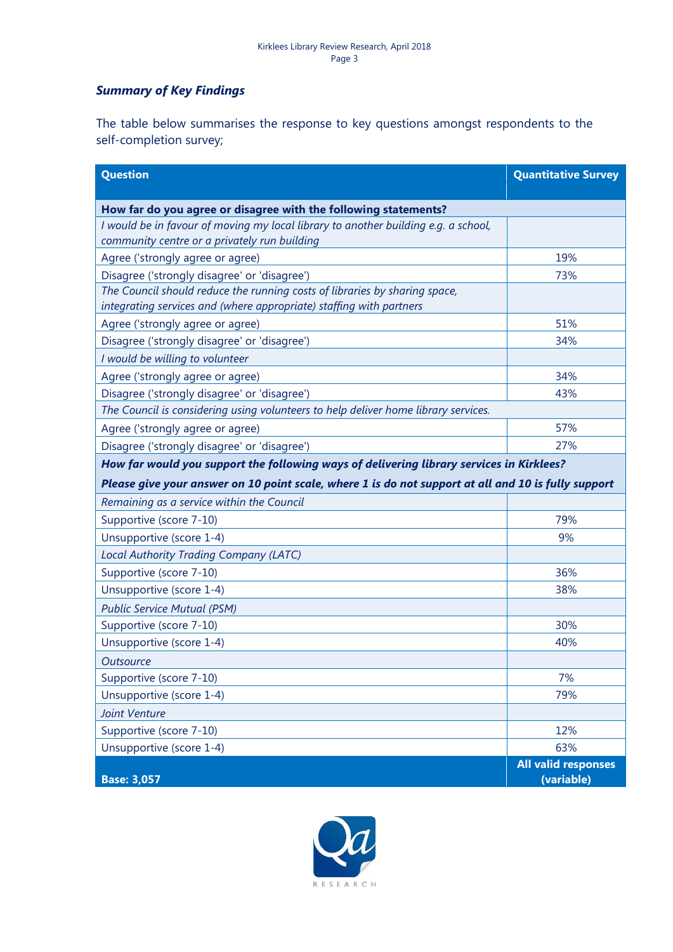## *Summary of Key Findings*

The table below summarises the response to key questions amongst respondents to the self-completion survey;

| <b>Question</b>                                                                                                                                   | <b>Quantitative Survey</b>               |
|---------------------------------------------------------------------------------------------------------------------------------------------------|------------------------------------------|
| How far do you agree or disagree with the following statements?                                                                                   |                                          |
| I would be in favour of moving my local library to another building e.g. a school,                                                                |                                          |
| community centre or a privately run building                                                                                                      |                                          |
| Agree ('strongly agree or agree)                                                                                                                  | 19%                                      |
| Disagree ('strongly disagree' or 'disagree')                                                                                                      | 73%                                      |
| The Council should reduce the running costs of libraries by sharing space,<br>integrating services and (where appropriate) staffing with partners |                                          |
| Agree ('strongly agree or agree)                                                                                                                  | 51%                                      |
| Disagree ('strongly disagree' or 'disagree')                                                                                                      | 34%                                      |
| I would be willing to volunteer                                                                                                                   |                                          |
| Agree ('strongly agree or agree)                                                                                                                  | 34%                                      |
| Disagree ('strongly disagree' or 'disagree')                                                                                                      | 43%                                      |
| The Council is considering using volunteers to help deliver home library services.                                                                |                                          |
| Agree ('strongly agree or agree)                                                                                                                  | 57%                                      |
| Disagree ('strongly disagree' or 'disagree')                                                                                                      | 27%                                      |
| How far would you support the following ways of delivering library services in Kirklees?                                                          |                                          |
| Please give your answer on 10 point scale, where 1 is do not support at all and 10 is fully support                                               |                                          |
| Remaining as a service within the Council                                                                                                         |                                          |
| Supportive (score 7-10)                                                                                                                           | 79%                                      |
| Unsupportive (score 1-4)                                                                                                                          | 9%                                       |
| Local Authority Trading Company (LATC)                                                                                                            |                                          |
| Supportive (score 7-10)                                                                                                                           | 36%                                      |
| Unsupportive (score 1-4)                                                                                                                          | 38%                                      |
| <b>Public Service Mutual (PSM)</b>                                                                                                                |                                          |
| Supportive (score 7-10)                                                                                                                           | 30%                                      |
| Unsupportive (score 1-4)                                                                                                                          | 40%                                      |
| <b>Outsource</b>                                                                                                                                  |                                          |
| Supportive (score 7-10)                                                                                                                           | 7%                                       |
| Unsupportive (score 1-4)                                                                                                                          | 79%                                      |
| Joint Venture                                                                                                                                     |                                          |
| Supportive (score 7-10)                                                                                                                           | 12%                                      |
| Unsupportive (score 1-4)                                                                                                                          | 63%                                      |
| <b>Base: 3,057</b>                                                                                                                                | <b>All valid responses</b><br>(variable) |

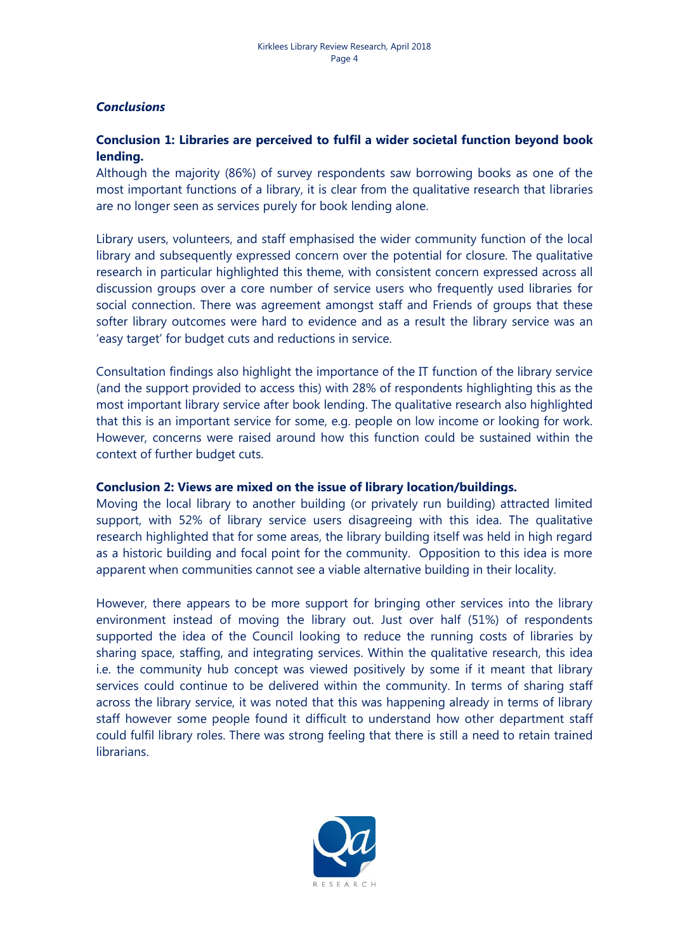#### *Conclusions*

## **Conclusion 1: Libraries are perceived to fulfil a wider societal function beyond book lending.**

Although the majority (86%) of survey respondents saw borrowing books as one of the most important functions of a library, it is clear from the qualitative research that libraries are no longer seen as services purely for book lending alone.

Library users, volunteers, and staff emphasised the wider community function of the local library and subsequently expressed concern over the potential for closure. The qualitative research in particular highlighted this theme, with consistent concern expressed across all discussion groups over a core number of service users who frequently used libraries for social connection. There was agreement amongst staff and Friends of groups that these softer library outcomes were hard to evidence and as a result the library service was an 'easy target' for budget cuts and reductions in service.

Consultation findings also highlight the importance of the IT function of the library service (and the support provided to access this) with 28% of respondents highlighting this as the most important library service after book lending. The qualitative research also highlighted that this is an important service for some, e.g. people on low income or looking for work. However, concerns were raised around how this function could be sustained within the context of further budget cuts.

#### **Conclusion 2: Views are mixed on the issue of library location/buildings.**

Moving the local library to another building (or privately run building) attracted limited support, with 52% of library service users disagreeing with this idea. The qualitative research highlighted that for some areas, the library building itself was held in high regard as a historic building and focal point for the community. Opposition to this idea is more apparent when communities cannot see a viable alternative building in their locality.

However, there appears to be more support for bringing other services into the library environment instead of moving the library out. Just over half (51%) of respondents supported the idea of the Council looking to reduce the running costs of libraries by sharing space, staffing, and integrating services. Within the qualitative research, this idea i.e. the community hub concept was viewed positively by some if it meant that library services could continue to be delivered within the community. In terms of sharing staff across the library service, it was noted that this was happening already in terms of library staff however some people found it difficult to understand how other department staff could fulfil library roles. There was strong feeling that there is still a need to retain trained librarians.

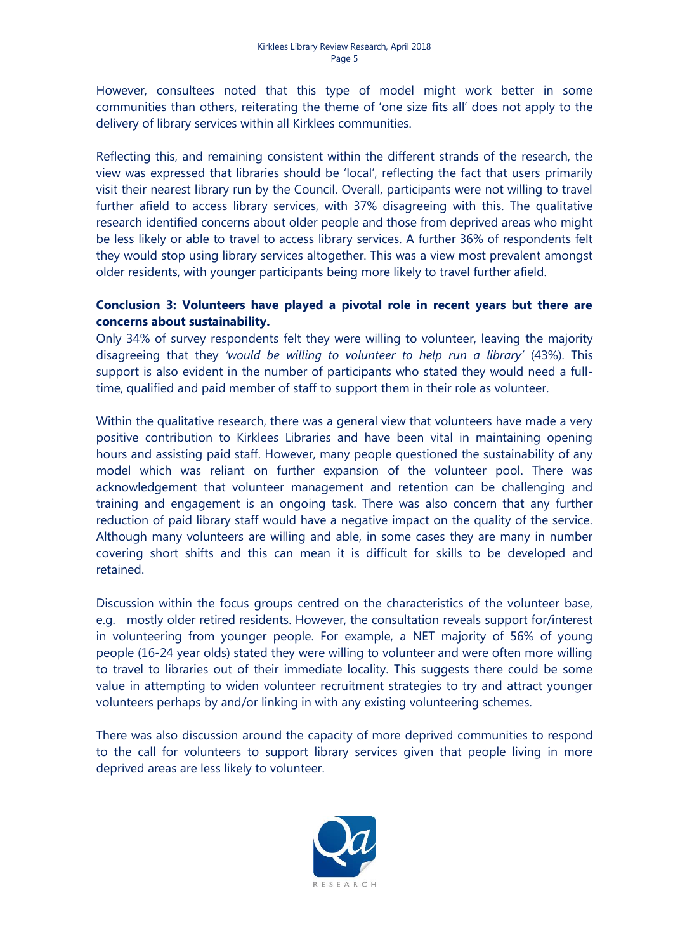However, consultees noted that this type of model might work better in some communities than others, reiterating the theme of 'one size fits all' does not apply to the delivery of library services within all Kirklees communities.

Reflecting this, and remaining consistent within the different strands of the research, the view was expressed that libraries should be 'local', reflecting the fact that users primarily visit their nearest library run by the Council. Overall, participants were not willing to travel further afield to access library services, with 37% disagreeing with this. The qualitative research identified concerns about older people and those from deprived areas who might be less likely or able to travel to access library services. A further 36% of respondents felt they would stop using library services altogether. This was a view most prevalent amongst older residents, with younger participants being more likely to travel further afield.

## **Conclusion 3: Volunteers have played a pivotal role in recent years but there are concerns about sustainability.**

Only 34% of survey respondents felt they were willing to volunteer, leaving the majority disagreeing that they *'would be willing to volunteer to help run a library'* (43%). This support is also evident in the number of participants who stated they would need a fulltime, qualified and paid member of staff to support them in their role as volunteer.

Within the qualitative research, there was a general view that volunteers have made a very positive contribution to Kirklees Libraries and have been vital in maintaining opening hours and assisting paid staff. However, many people questioned the sustainability of any model which was reliant on further expansion of the volunteer pool. There was acknowledgement that volunteer management and retention can be challenging and training and engagement is an ongoing task. There was also concern that any further reduction of paid library staff would have a negative impact on the quality of the service. Although many volunteers are willing and able, in some cases they are many in number covering short shifts and this can mean it is difficult for skills to be developed and retained.

Discussion within the focus groups centred on the characteristics of the volunteer base, e.g. mostly older retired residents. However, the consultation reveals support for/interest in volunteering from younger people. For example, a NET majority of 56% of young people (16-24 year olds) stated they were willing to volunteer and were often more willing to travel to libraries out of their immediate locality. This suggests there could be some value in attempting to widen volunteer recruitment strategies to try and attract younger volunteers perhaps by and/or linking in with any existing volunteering schemes.

There was also discussion around the capacity of more deprived communities to respond to the call for volunteers to support library services given that people living in more deprived areas are less likely to volunteer.

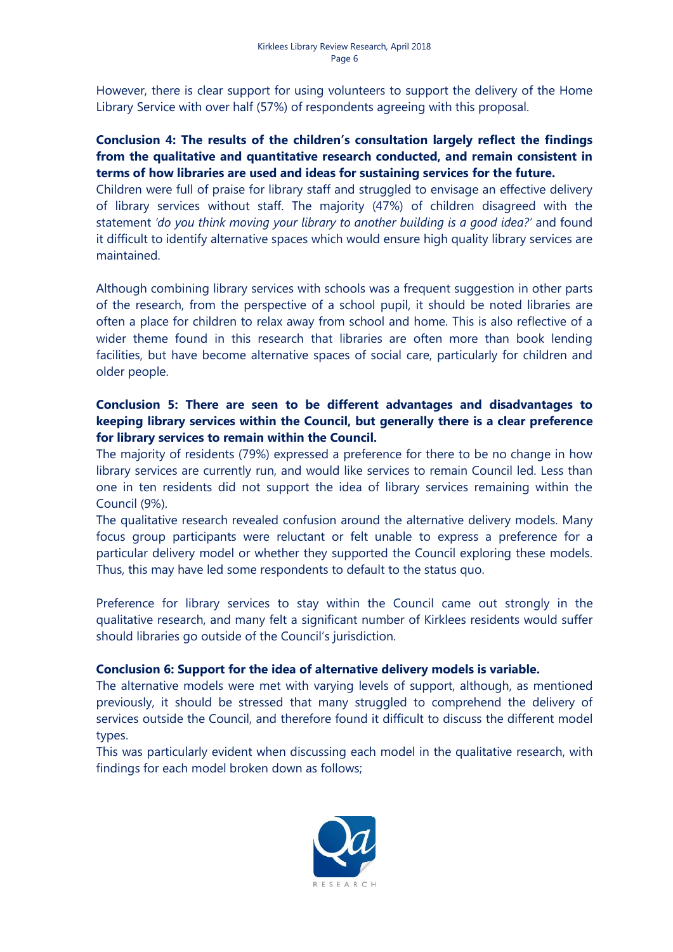However, there is clear support for using volunteers to support the delivery of the Home Library Service with over half (57%) of respondents agreeing with this proposal.

## **Conclusion 4: The results of the children's consultation largely reflect the findings from the qualitative and quantitative research conducted, and remain consistent in terms of how libraries are used and ideas for sustaining services for the future.**

Children were full of praise for library staff and struggled to envisage an effective delivery of library services without staff. The majority (47%) of children disagreed with the statement *'do you think moving your library to another building is a good idea?'* and found it difficult to identify alternative spaces which would ensure high quality library services are maintained.

Although combining library services with schools was a frequent suggestion in other parts of the research, from the perspective of a school pupil, it should be noted libraries are often a place for children to relax away from school and home. This is also reflective of a wider theme found in this research that libraries are often more than book lending facilities, but have become alternative spaces of social care, particularly for children and older people.

## **Conclusion 5: There are seen to be different advantages and disadvantages to keeping library services within the Council, but generally there is a clear preference for library services to remain within the Council.**

The majority of residents (79%) expressed a preference for there to be no change in how library services are currently run, and would like services to remain Council led. Less than one in ten residents did not support the idea of library services remaining within the Council (9%).

The qualitative research revealed confusion around the alternative delivery models. Many focus group participants were reluctant or felt unable to express a preference for a particular delivery model or whether they supported the Council exploring these models. Thus, this may have led some respondents to default to the status quo.

Preference for library services to stay within the Council came out strongly in the qualitative research, and many felt a significant number of Kirklees residents would suffer should libraries go outside of the Council's jurisdiction.

## **Conclusion 6: Support for the idea of alternative delivery models is variable.**

The alternative models were met with varying levels of support, although, as mentioned previously, it should be stressed that many struggled to comprehend the delivery of services outside the Council, and therefore found it difficult to discuss the different model types.

This was particularly evident when discussing each model in the qualitative research, with findings for each model broken down as follows;